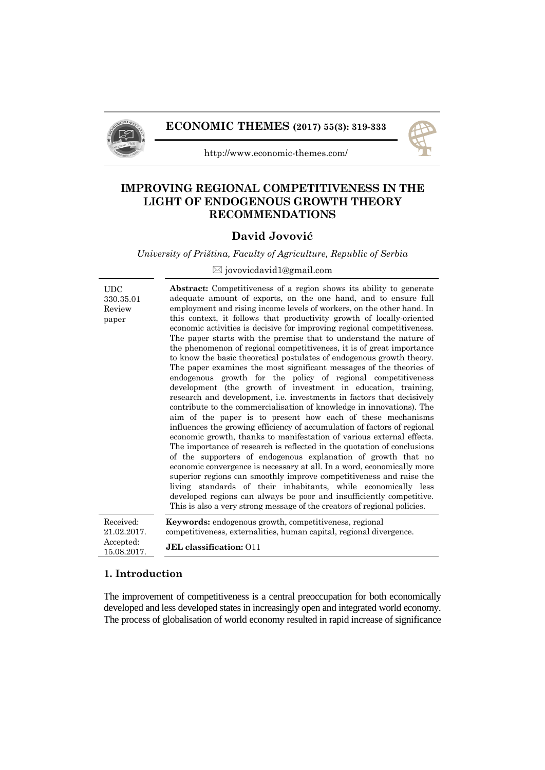



http://www.economic-themes.com/

# **IMPROVING REGIONAL COMPETITIVENESS IN THE LIGHT OF ENDOGENOUS GROWTH THEORY RECOMMENDATIONS**

# **David Jovović**

*University of Priština, Faculty of Agriculture, Republic of Serbia*

# $\boxtimes$  jovovicdavid1@gmail.com

| $_{\rm UDC}$             | <b>Abstract:</b> Competitiveness of a region shows its ability to generate                                                                                                                                                                                                                                                                                                                                                                                                                                                                                                                                                                                                                                                                                                                                                                                                                                                                                                                                                                                                                                                                                                                                                                                                                                                                                                                                                                                                |
|--------------------------|---------------------------------------------------------------------------------------------------------------------------------------------------------------------------------------------------------------------------------------------------------------------------------------------------------------------------------------------------------------------------------------------------------------------------------------------------------------------------------------------------------------------------------------------------------------------------------------------------------------------------------------------------------------------------------------------------------------------------------------------------------------------------------------------------------------------------------------------------------------------------------------------------------------------------------------------------------------------------------------------------------------------------------------------------------------------------------------------------------------------------------------------------------------------------------------------------------------------------------------------------------------------------------------------------------------------------------------------------------------------------------------------------------------------------------------------------------------------------|
| 330.35.01<br>Review      | adequate amount of exports, on the one hand, and to ensure full<br>employment and rising income levels of workers, on the other hand. In                                                                                                                                                                                                                                                                                                                                                                                                                                                                                                                                                                                                                                                                                                                                                                                                                                                                                                                                                                                                                                                                                                                                                                                                                                                                                                                                  |
| paper                    | this context, it follows that productivity growth of locally-oriented<br>economic activities is decisive for improving regional competitiveness.<br>The paper starts with the premise that to understand the nature of<br>the phenomenon of regional competitiveness, it is of great importance<br>to know the basic theoretical postulates of endogenous growth theory.<br>The paper examines the most significant messages of the theories of<br>endogenous growth for the policy of regional competitiveness<br>development (the growth of investment in education, training,<br>research and development, i.e. investments in factors that decisively<br>contribute to the commercialisation of knowledge in innovations). The<br>aim of the paper is to present how each of these mechanisms<br>influences the growing efficiency of accumulation of factors of regional<br>economic growth, thanks to manifestation of various external effects.<br>The importance of research is reflected in the quotation of conclusions<br>of the supporters of endogenous explanation of growth that no<br>economic convergence is necessary at all. In a word, economically more<br>superior regions can smoothly improve competitiveness and raise the<br>living standards of their inhabitants, while economically less<br>developed regions can always be poor and insufficiently competitive.<br>This is also a very strong message of the creators of regional policies. |
| Received:                | <b>Keywords:</b> endogenous growth, competitiveness, regional                                                                                                                                                                                                                                                                                                                                                                                                                                                                                                                                                                                                                                                                                                                                                                                                                                                                                                                                                                                                                                                                                                                                                                                                                                                                                                                                                                                                             |
| 21.02.2017.              | competitiveness, externalities, human capital, regional divergence.                                                                                                                                                                                                                                                                                                                                                                                                                                                                                                                                                                                                                                                                                                                                                                                                                                                                                                                                                                                                                                                                                                                                                                                                                                                                                                                                                                                                       |
| Accepted:<br>15.08.2017. | <b>JEL</b> classification: 011                                                                                                                                                                                                                                                                                                                                                                                                                                                                                                                                                                                                                                                                                                                                                                                                                                                                                                                                                                                                                                                                                                                                                                                                                                                                                                                                                                                                                                            |

#### **1. Introduction**

The improvement of competitiveness is a central preoccupation for both economically developed and less developed states in increasingly open and integrated world economy. The process of globalisation of world economy resulted in rapid increase of significance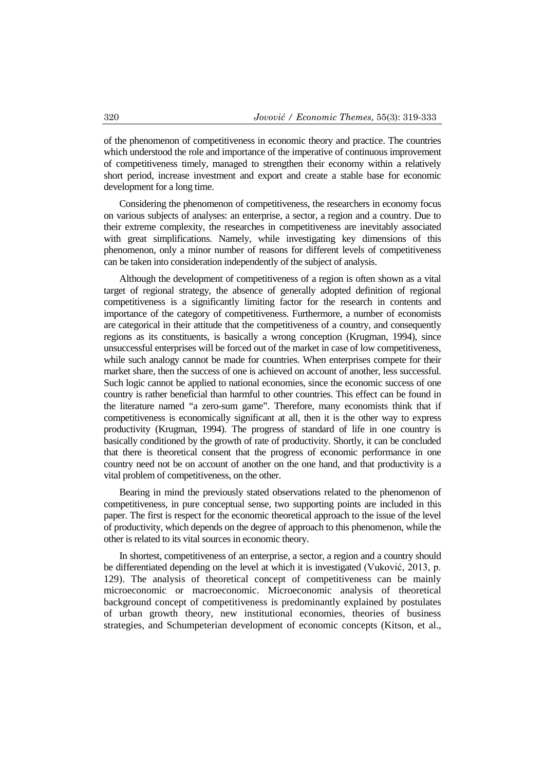of the phenomenon of competitiveness in economic theory and practice. The countries which understood the role and importance of the imperative of continuous improvement of competitiveness timely, managed to strengthen their economy within a relatively short period, increase investment and export and create a stable base for economic development for a long time.

Considering the phenomenon of competitiveness, the researchers in economy focus on various subjects of analyses: an enterprise, a sector, a region and a country. Due to their extreme complexity, the researches in competitiveness are inevitably associated with great simplifications. Namely, while investigating key dimensions of this phenomenon, only a minor number of reasons for different levels of competitiveness can be taken into consideration independently of the subject of analysis.

Although the development of competitiveness of a region is often shown as a vital target of regional strategy, the absence of generally adopted definition of regional competitiveness is a significantly limiting factor for the research in contents and importance of the category of competitiveness. Furthermore, a number of economists are categorical in their attitude that the competitiveness of a country, and consequently regions as its constituents, is basically a wrong conception (Krugman, 1994), since unsuccessful enterprises will be forced out of the market in case of low competitiveness, while such analogy cannot be made for countries. When enterprises compete for their market share, then the success of one is achieved on account of another, less successful. Such logic cannot be applied to national economies, since the economic success of one country is rather beneficial than harmful to other countries. This effect can be found in the literature named "a zero-sum game". Therefore, many economists think that if competitiveness is economically significant at all, then it is the other way to express productivity (Krugman, 1994). The progress of standard of life in one country is basically conditioned by the growth of rate of productivity. Shortly, it can be concluded that there is theoretical consent that the progress of economic performance in one country need not be on account of another on the one hand, and that productivity is a vital problem of competitiveness, on the other.

Bearing in mind the previously stated observations related to the phenomenon of competitiveness, in pure conceptual sense, two supporting points are included in this paper. The first is respect for the economic theoretical approach to the issue of the level of productivity, which depends on the degree of approach to this phenomenon, while the other is related to its vital sources in economic theory.

In shortest, competitiveness of an enterprise, a sector, a region and a country should be differentiated depending on the level at which it is investigated (Vuković, 2013, p. 129). The analysis of theoretical concept of competitiveness can be mainly microeconomic or macroeconomic. Microeconomic analysis of theoretical background concept of competitiveness is predominantly explained by postulates of urban growth theory, new institutional economies, theories of business strategies, and Schumpeterian development of economic concepts (Kitson, et al.,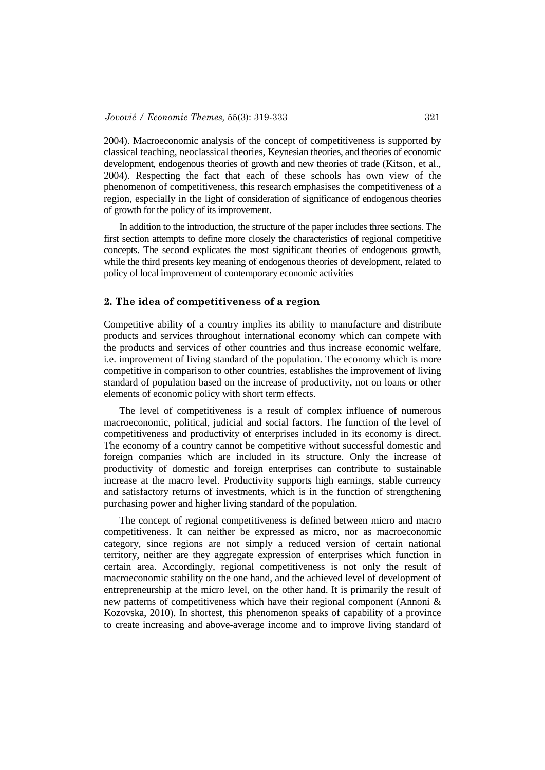2004). Macroeconomic analysis of the concept of competitiveness is supported by classical teaching, neoclassical theories, Keynesian theories, and theories of economic development, endogenous theories of growth and new theories of trade (Kitson, et al., 2004). Respecting the fact that each of these schools has own view of the phenomenon of competitiveness, this research emphasises the competitiveness of a region, especially in the light of consideration of significance of endogenous theories of growth for the policy of its improvement.

In addition to the introduction, the structure of the paper includes three sections. The first section attempts to define more closely the characteristics of regional competitive concepts. The second explicates the most significant theories of endogenous growth, while the third presents key meaning of endogenous theories of development, related to policy of local improvement of contemporary economic activities

### **2. The idea of competitiveness of a region**

Competitive ability of a country implies its ability to manufacture and distribute products and services throughout international economy which can compete with the products and services of other countries and thus increase economic welfare, i.e. improvement of living standard of the population. The economy which is more competitive in comparison to other countries, establishes the improvement of living standard of population based on the increase of productivity, not on loans or other elements of economic policy with short term effects.

The level of competitiveness is a result of complex influence of numerous macroeconomic, political, judicial and social factors. The function of the level of competitiveness and productivity of enterprises included in its economy is direct. The economy of a country cannot be competitive without successful domestic and foreign companies which are included in its structure. Only the increase of productivity of domestic and foreign enterprises can contribute to sustainable increase at the macro level. Productivity supports high earnings, stable currency and satisfactory returns of investments, which is in the function of strengthening purchasing power and higher living standard of the population.

The concept of regional competitiveness is defined between micro and macro competitiveness. It can neither be expressed as micro, nor as macroeconomic category, since regions are not simply a reduced version of certain national territory, neither are they aggregate expression of enterprises which function in certain area. Accordingly, regional competitiveness is not only the result of macroeconomic stability on the one hand, and the achieved level of development of entrepreneurship at the micro level, on the other hand. It is primarily the result of new patterns of competitiveness which have their regional component (Annoni & Kozovska, 2010). In shortest, this phenomenon speaks of capability of a province to create increasing and above-average income and to improve living standard of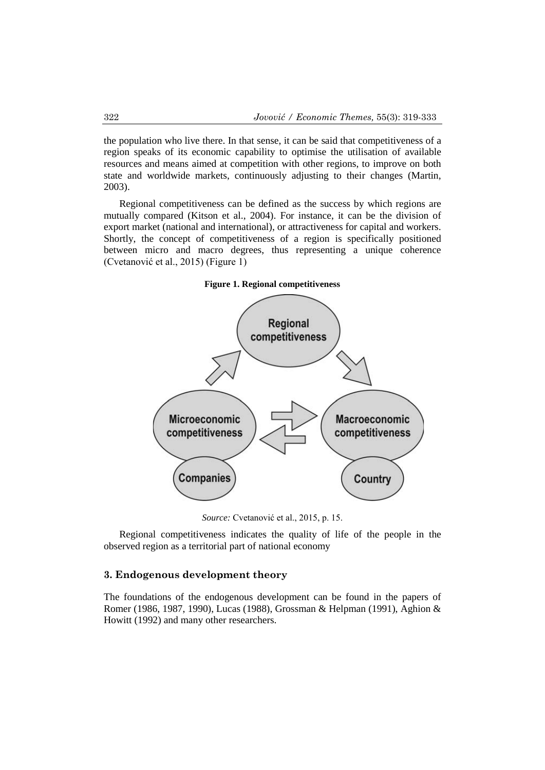the population who live there. In that sense, it can be said that competitiveness of a region speaks of its economic capability to optimise the utilisation of available resources and means aimed at competition with other regions, to improve on both state and worldwide markets, continuously adjusting to their changes (Martin, 2003).

Regional competitiveness can be defined as the success by which regions are mutually compared (Kitson et al., 2004). For instance, it can be the division of export market (national and international), or attractiveness for capital and workers. Shortly, the concept of competitiveness of a region is specifically positioned between micro and macro degrees, thus representing a unique coherence (Cvetanović et al., 2015) (Figure 1)



**Figure 1. Regional competitiveness**

*Source:* Cvetanović et al., 2015, p. 15.

Regional competitiveness indicates the quality of life of the people in the observed region as a territorial part of national economy

# **3. Endogenous development theory**

The foundations of the endogenous development can be found in the papers of Romer (1986, 1987, 1990), Lucas (1988), Grossman & Helpman (1991), Aghion & Howitt (1992) and many other researchers.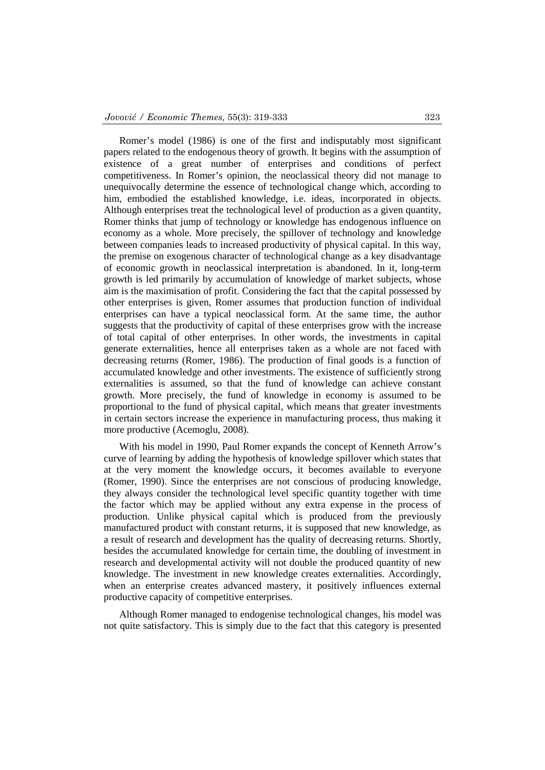Romer's model (1986) is one of the first and indisputably most significant papers related to the endogenous theory of growth. It begins with the assumption of existence of a great number of enterprises and conditions of perfect competitiveness. In Romer's opinion, the neoclassical theory did not manage to unequivocally determine the essence of technological change which, according to him, embodied the established knowledge, i.e. ideas, incorporated in objects. Although enterprises treat the technological level of production as a given quantity, Romer thinks that jump of technology or knowledge has endogenous influence on economy as a whole. More precisely, the spillover of technology and knowledge between companies leads to increased productivity of physical capital. In this way, the premise on exogenous character of technological change as a key disadvantage of economic growth in neoclassical interpretation is abandoned. In it, long-term growth is led primarily by accumulation of knowledge of market subjects, whose aim is the maximisation of profit. Considering the fact that the capital possessed by other enterprises is given, Romer assumes that production function of individual enterprises can have a typical neoclassical form. At the same time, the author suggests that the productivity of capital of these enterprises grow with the increase of total capital of other enterprises. In other words, the investments in capital generate externalities, hence all enterprises taken as a whole are not faced with decreasing returns (Romer, 1986). The production of final goods is a function of accumulated knowledge and other investments. The existence of sufficiently strong externalities is assumed, so that the fund of knowledge can achieve constant growth. More precisely, the fund of knowledge in economy is assumed to be proportional to the fund of physical capital, which means that greater investments in certain sectors increase the experience in manufacturing process, thus making it more productive (Acemoglu, 2008).

With his model in 1990, Paul Romer expands the concept of Kenneth Arrow's curve of learning by adding the hypothesis of knowledge spillover which states that at the very moment the knowledge occurs, it becomes available to everyone (Romer, 1990). Since the enterprises are not conscious of producing knowledge, they always consider the technological level specific quantity together with time the factor which may be applied without any extra expense in the process of production. Unlike physical capital which is produced from the previously manufactured product with constant returns, it is supposed that new knowledge, as a result of research and development has the quality of decreasing returns. Shortly, besides the accumulated knowledge for certain time, the doubling of investment in research and developmental activity will not double the produced quantity of new knowledge. The investment in new knowledge creates externalities. Accordingly, when an enterprise creates advanced mastery, it positively influences external productive capacity of competitive enterprises.

Although Romer managed to endogenise technological changes, his model was not quite satisfactory. This is simply due to the fact that this category is presented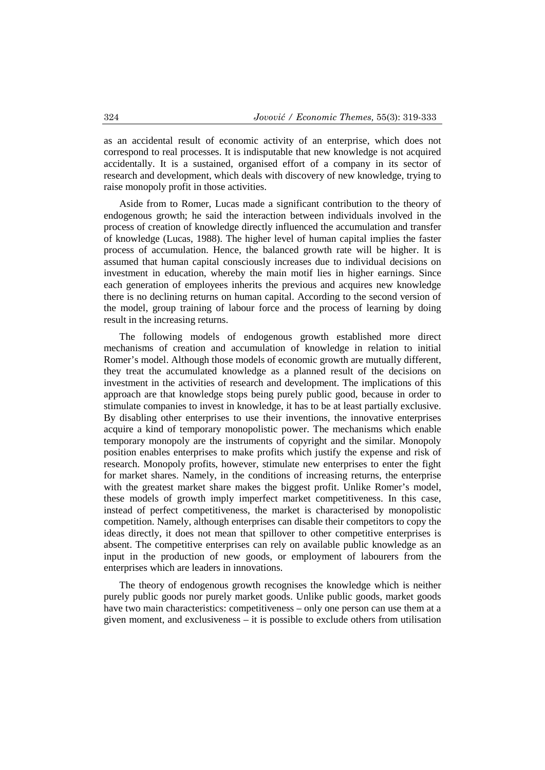as an accidental result of economic activity of an enterprise, which does not correspond to real processes. It is indisputable that new knowledge is not acquired accidentally. It is a sustained, organised effort of a company in its sector of research and development, which deals with discovery of new knowledge, trying to raise monopoly profit in those activities.

Aside from to Romer, Lucas made a significant contribution to the theory of endogenous growth; he said the interaction between individuals involved in the process of creation of knowledge directly influenced the accumulation and transfer of knowledge (Lucas, 1988). The higher level of human capital implies the faster process of accumulation. Hence, the balanced growth rate will be higher. It is assumed that human capital consciously increases due to individual decisions on investment in education, whereby the main motif lies in higher earnings. Since each generation of employees inherits the previous and acquires new knowledge there is no declining returns on human capital. According to the second version of the model, group training of labour force and the process of learning by doing result in the increasing returns.

The following models of endogenous growth established more direct mechanisms of creation and accumulation of knowledge in relation to initial Romer's model. Although those models of economic growth are mutually different, they treat the accumulated knowledge as a planned result of the decisions on investment in the activities of research and development. The implications of this approach are that knowledge stops being purely public good, because in order to stimulate companies to invest in knowledge, it has to be at least partially exclusive. By disabling other enterprises to use their inventions, the innovative enterprises acquire a kind of temporary monopolistic power. The mechanisms which enable temporary monopoly are the instruments of copyright and the similar. Monopoly position enables enterprises to make profits which justify the expense and risk of research. Monopoly profits, however, stimulate new enterprises to enter the fight for market shares. Namely, in the conditions of increasing returns, the enterprise with the greatest market share makes the biggest profit. Unlike Romer's model, these models of growth imply imperfect market competitiveness. In this case, instead of perfect competitiveness, the market is characterised by monopolistic competition. Namely, although enterprises can disable their competitors to copy the ideas directly, it does not mean that spillover to other competitive enterprises is absent. The competitive enterprises can rely on available public knowledge as an input in the production of new goods, or employment of labourers from the enterprises which are leaders in innovations.

The theory of endogenous growth recognises the knowledge which is neither purely public goods nor purely market goods. Unlike public goods, market goods have two main characteristics: competitiveness – only one person can use them at a given moment, and exclusiveness – it is possible to exclude others from utilisation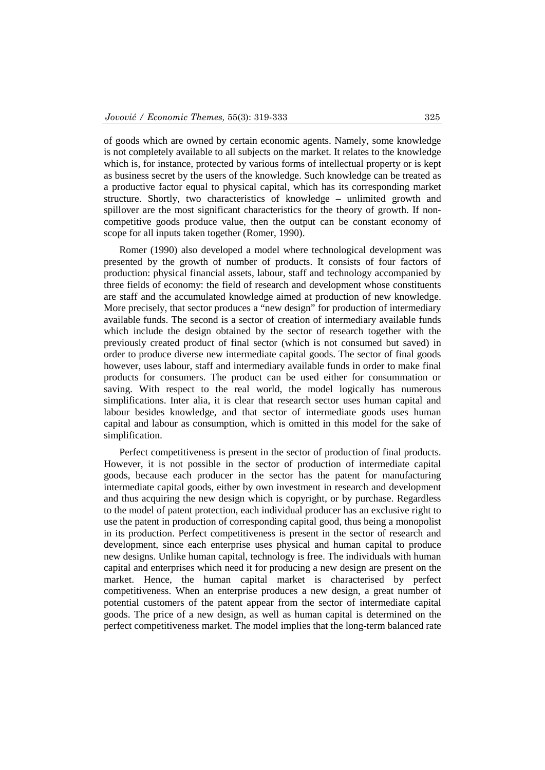of goods which are owned by certain economic agents. Namely, some knowledge is not completely available to all subjects on the market. It relates to the knowledge which is, for instance, protected by various forms of intellectual property or is kept as business secret by the users of the knowledge. Such knowledge can be treated as a productive factor equal to physical capital, which has its corresponding market structure. Shortly, two characteristics of knowledge – unlimited growth and spillover are the most significant characteristics for the theory of growth. If noncompetitive goods produce value, then the output can be constant economy of scope for all inputs taken together (Romer, 1990).

Romer (1990) also developed a model where technological development was presented by the growth of number of products. It consists of four factors of production: physical financial assets, labour, staff and technology accompanied by three fields of economy: the field of research and development whose constituents are staff and the accumulated knowledge aimed at production of new knowledge. More precisely, that sector produces a "new design" for production of intermediary available funds. The second is a sector of creation of intermediary available funds which include the design obtained by the sector of research together with the previously created product of final sector (which is not consumed but saved) in order to produce diverse new intermediate capital goods. The sector of final goods however, uses labour, staff and intermediary available funds in order to make final products for consumers. The product can be used either for consummation or saving. With respect to the real world, the model logically has numerous simplifications. Inter alia, it is clear that research sector uses human capital and labour besides knowledge, and that sector of intermediate goods uses human capital and labour as consumption, which is omitted in this model for the sake of simplification.

Perfect competitiveness is present in the sector of production of final products. However, it is not possible in the sector of production of intermediate capital goods, because each producer in the sector has the patent for manufacturing intermediate capital goods, either by own investment in research and development and thus acquiring the new design which is copyright, or by purchase. Regardless to the model of patent protection, each individual producer has an exclusive right to use the patent in production of corresponding capital good, thus being a monopolist in its production. Perfect competitiveness is present in the sector of research and development, since each enterprise uses physical and human capital to produce new designs. Unlike human capital, technology is free. The individuals with human capital and enterprises which need it for producing a new design are present on the market. Hence, the human capital market is characterised by perfect competitiveness. When an enterprise produces a new design, a great number of potential customers of the patent appear from the sector of intermediate capital goods. The price of a new design, as well as human capital is determined on the perfect competitiveness market. The model implies that the long-term balanced rate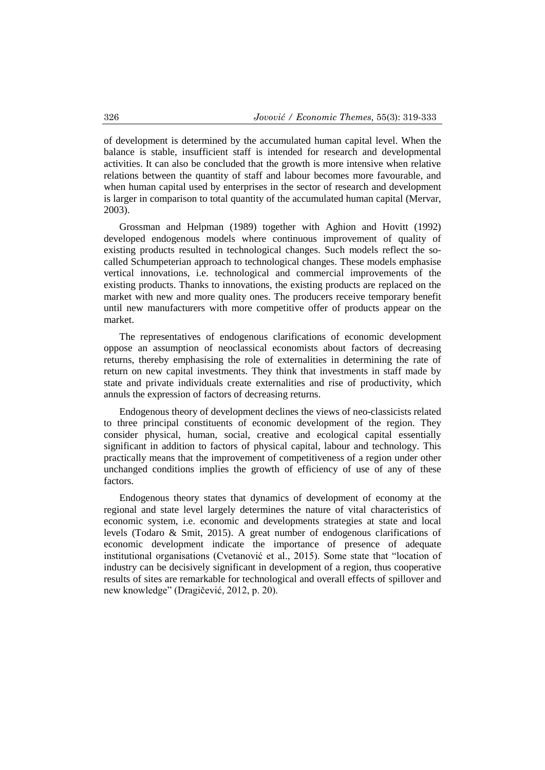of development is determined by the accumulated human capital level. When the balance is stable, insufficient staff is intended for research and developmental activities. It can also be concluded that the growth is more intensive when relative relations between the quantity of staff and labour becomes more favourable, and when human capital used by enterprises in the sector of research and development is larger in comparison to total quantity of the accumulated human capital (Mervar, 2003).

Grossman and Helpman (1989) together with Aghion and Hovitt (1992) developed endogenous models where continuous improvement of quality of existing products resulted in technological changes. Such models reflect the socalled Schumpeterian approach to technological changes. These models emphasise vertical innovations, i.e. technological and commercial improvements of the existing products. Thanks to innovations, the existing products are replaced on the market with new and more quality ones. The producers receive temporary benefit until new manufacturers with more competitive offer of products appear on the market.

The representatives of endogenous clarifications of economic development oppose an assumption of neoclassical economists about factors of decreasing returns, thereby emphasising the role of externalities in determining the rate of return on new capital investments. They think that investments in staff made by state and private individuals create externalities and rise of productivity, which annuls the expression of factors of decreasing returns.

Endogenous theory of development declines the views of neo-classicists related to three principal constituents of economic development of the region. They consider physical, human, social, creative and ecological capital essentially significant in addition to factors of physical capital, labour and technology. This practically means that the improvement of competitiveness of a region under other unchanged conditions implies the growth of efficiency of use of any of these factors.

Endogenous theory states that dynamics of development of economy at the regional and state level largely determines the nature of vital characteristics of economic system, i.e. economic and developments strategies at state and local levels (Todaro & Smit, 2015). A great number of endogenous clarifications of economic development indicate the importance of presence of adequate institutional organisations (Cvetanović et al., 2015). Some state that "location of industry can be decisively significant in development of a region, thus cooperative results of sites are remarkable for technological and overall effects of spillover and new knowledge" (Dragičević, 2012, p. 20).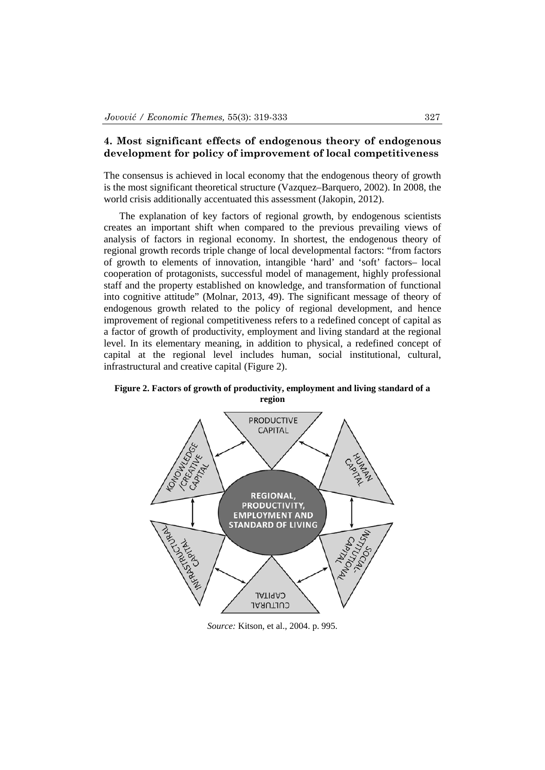## **4. Most significant effects of endogenous theory of endogenous development for policy of improvement of local competitiveness**

The consensus is achieved in local economy that the endogenous theory of growth is the most significant theoretical structure (Vazquez–Barquero, 2002). In 2008, the world crisis additionally accentuated this assessment (Jakopin, 2012).

The explanation of key factors of regional growth, by endogenous scientists creates an important shift when compared to the previous prevailing views of analysis of factors in regional economy. In shortest, the endogenous theory of regional growth records triple change of local developmental factors: "from factors of growth to elements of innovation, intangible 'hard' and 'soft' factors– local cooperation of protagonists, successful model of management, highly professional staff and the property established on knowledge, and transformation of functional into cognitive attitude" (Molnar, 2013, 49). The significant message of theory of endogenous growth related to the policy of regional development, and hence improvement of regional competitiveness refers to a redefined concept of capital as a factor of growth of productivity, employment and living standard at the regional level. In its elementary meaning, in addition to physical, a redefined concept of capital at the regional level includes human, social institutional, cultural, infrastructural and creative capital (Figure 2).

**PRODUCTIVE CAPITAL** following of CREATIVE GE **HELINDRANE** CANALLA **CAPITAL REGIONAL,** PRODUCTIVITY, Tango de La Carach **EMPLOYMENT AND** THROUGHT **STANDARD OF LIVING** Noviday Carlotte CAPITAL CULTURAL

**Figure 2. Factors of growth of productivity, employment and living standard of a region**

*Source:* Kitson, et al., 2004. p. 995.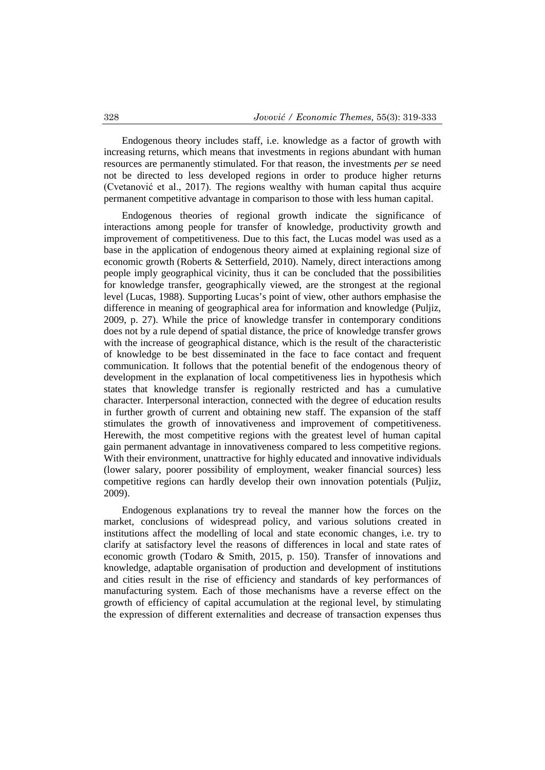Endogenous theory includes staff, i.e. knowledge as a factor of growth with increasing returns, which means that investments in regions abundant with human resources are permanently stimulated. For that reason, the investments *per se* need not be directed to less developed regions in order to produce higher returns (Cvetanović et al., 2017). The regions wealthy with human capital thus acquire permanent competitive advantage in comparison to those with less human capital.

Endogenous theories of regional growth indicate the significance of interactions among people for transfer of knowledge, productivity growth and improvement of competitiveness. Due to this fact, the Lucas model was used as a base in the application of endogenous theory aimed at explaining regional size of economic growth (Roberts & Setterfield, 2010). Namely, direct interactions among people imply geographical vicinity, thus it can be concluded that the possibilities for knowledge transfer, geographically viewed, are the strongest at the regional level (Lucas, 1988). Supporting Lucas's point of view, other authors emphasise the difference in meaning of geographical area for information and knowledge (Puljiz, 2009, p. 27). While the price of knowledge transfer in contemporary conditions does not by a rule depend of spatial distance, the price of knowledge transfer grows with the increase of geographical distance, which is the result of the characteristic of knowledge to be best disseminated in the face to face contact and frequent communication. It follows that the potential benefit of the endogenous theory of development in the explanation of local competitiveness lies in hypothesis which states that knowledge transfer is regionally restricted and has a cumulative character. Interpersonal interaction, connected with the degree of education results in further growth of current and obtaining new staff. The expansion of the staff stimulates the growth of innovativeness and improvement of competitiveness. Herewith, the most competitive regions with the greatest level of human capital gain permanent advantage in innovativeness compared to less competitive regions. With their environment, unattractive for highly educated and innovative individuals (lower salary, poorer possibility of employment, weaker financial sources) less competitive regions can hardly develop their own innovation potentials (Puljiz, 2009).

Endogenous explanations try to reveal the manner how the forces on the market, conclusions of widespread policy, and various solutions created in institutions affect the modelling of local and state economic changes, i.e. try to clarify at satisfactory level the reasons of differences in local and state rates of economic growth (Todaro & Smith, 2015, p. 150). Transfer of innovations and knowledge, adaptable organisation of production and development of institutions and cities result in the rise of efficiency and standards of key performances of manufacturing system. Each of those mechanisms have a reverse effect on the growth of efficiency of capital accumulation at the regional level, by stimulating the expression of different externalities and decrease of transaction expenses thus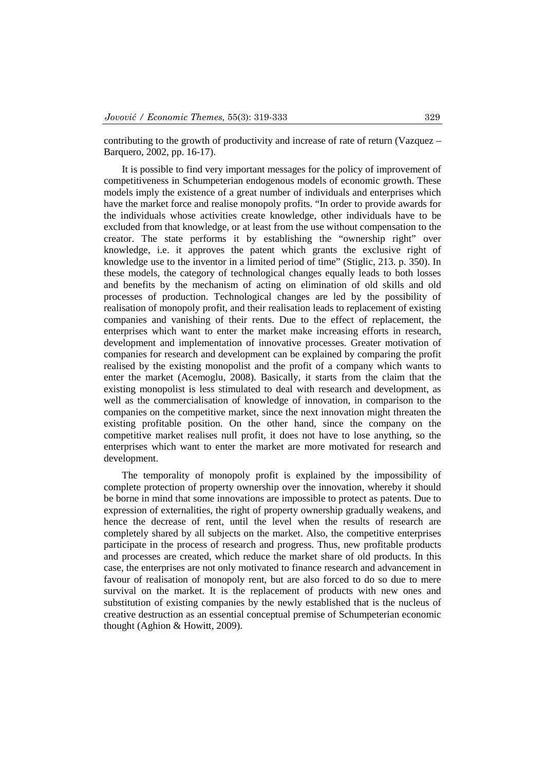contributing to the growth of productivity and increase of rate of return (Vazquez – Barquero, 2002, pp. 16-17).

It is possible to find very important messages for the policy of improvement of competitiveness in Schumpeterian endogenous models of economic growth. These models imply the existence of a great number of individuals and enterprises which have the market force and realise monopoly profits. "In order to provide awards for the individuals whose activities create knowledge, other individuals have to be excluded from that knowledge, or at least from the use without compensation to the creator. The state performs it by establishing the "ownership right" over knowledge, i.e. it approves the patent which grants the exclusive right of knowledge use to the inventor in a limited period of time" (Stiglic, 213. p. 350). In these models, the category of technological changes equally leads to both losses and benefits by the mechanism of acting on elimination of old skills and old processes of production. Technological changes are led by the possibility of realisation of monopoly profit, and their realisation leads to replacement of existing companies and vanishing of their rents. Due to the effect of replacement, the enterprises which want to enter the market make increasing efforts in research, development and implementation of innovative processes. Greater motivation of companies for research and development can be explained by comparing the profit realised by the existing monopolist and the profit of a company which wants to enter the market (Acemoglu, 2008). Basically, it starts from the claim that the existing monopolist is less stimulated to deal with research and development, as well as the commercialisation of knowledge of innovation, in comparison to the companies on the competitive market, since the next innovation might threaten the existing profitable position. On the other hand, since the company on the competitive market realises null profit, it does not have to lose anything, so the enterprises which want to enter the market are more motivated for research and development.

The temporality of monopoly profit is explained by the impossibility of complete protection of property ownership over the innovation, whereby it should be borne in mind that some innovations are impossible to protect as patents. Due to expression of externalities, the right of property ownership gradually weakens, and hence the decrease of rent, until the level when the results of research are completely shared by all subjects on the market. Also, the competitive enterprises participate in the process of research and progress. Thus, new profitable products and processes are created, which reduce the market share of old products. In this case, the enterprises are not only motivated to finance research and advancement in favour of realisation of monopoly rent, but are also forced to do so due to mere survival on the market. It is the replacement of products with new ones and substitution of existing companies by the newly established that is the nucleus of creative destruction as an essential conceptual premise of Schumpeterian economic thought (Aghion & Howitt, 2009).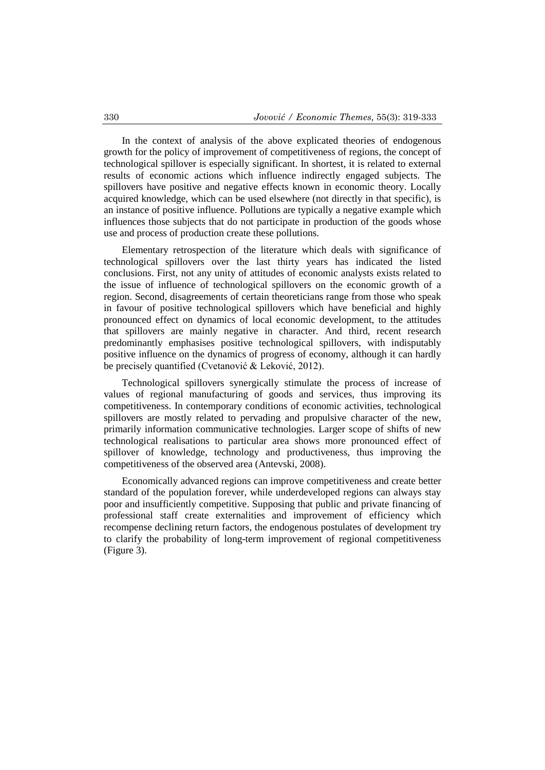In the context of analysis of the above explicated theories of endogenous growth for the policy of improvement of competitiveness of regions, the concept of technological spillover is especially significant. In shortest, it is related to external results of economic actions which influence indirectly engaged subjects. The spillovers have positive and negative effects known in economic theory. Locally acquired knowledge, which can be used elsewhere (not directly in that specific), is an instance of positive influence. Pollutions are typically a negative example which influences those subjects that do not participate in production of the goods whose use and process of production create these pollutions.

Elementary retrospection of the literature which deals with significance of technological spillovers over the last thirty years has indicated the listed conclusions. First, not any unity of attitudes of economic analysts exists related to the issue of influence of technological spillovers on the economic growth of a region. Second, disagreements of certain theoreticians range from those who speak in favour of positive technological spillovers which have beneficial and highly pronounced effect on dynamics of local economic development, to the attitudes that spillovers are mainly negative in character. And third, recent research predominantly emphasises positive technological spillovers, with indisputably positive influence on the dynamics of progress of economy, although it can hardly be precisely quantified (Cvetanović & Leković, 2012).

Technological spillovers synergically stimulate the process of increase of values of regional manufacturing of goods and services, thus improving its competitiveness. In contemporary conditions of economic activities, technological spillovers are mostly related to pervading and propulsive character of the new, primarily information communicative technologies. Larger scope of shifts of new technological realisations to particular area shows more pronounced effect of spillover of knowledge, technology and productiveness, thus improving the competitiveness of the observed area (Antevski, 2008).

Economically advanced regions can improve competitiveness and create better standard of the population forever, while underdeveloped regions can always stay poor and insufficiently competitive. Supposing that public and private financing of professional staff create externalities and improvement of efficiency which recompense declining return factors, the endogenous postulates of development try to clarify the probability of long-term improvement of regional competitiveness (Figure 3).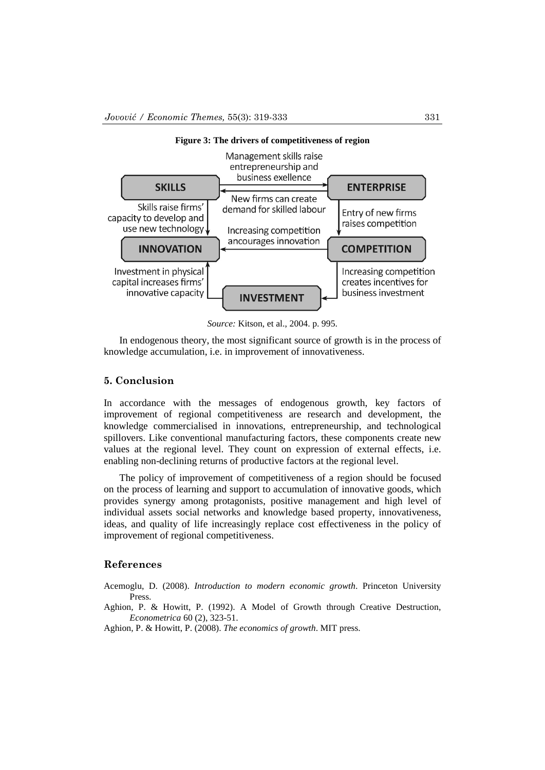

*Source:* Kitson, et al., 2004. p. 995.

In endogenous theory, the most significant source of growth is in the process of knowledge accumulation, i.e. in improvement of innovativeness.

### **5. Conclusion**

In accordance with the messages of endogenous growth, key factors of improvement of regional competitiveness are research and development, the knowledge commercialised in innovations, entrepreneurship, and technological spillovers. Like conventional manufacturing factors, these components create new values at the regional level. They count on expression of external effects, i.e. enabling non-declining returns of productive factors at the regional level.

The policy of improvement of competitiveness of a region should be focused on the process of learning and support to accumulation of innovative goods, which provides synergy among protagonists, positive management and high level of individual assets social networks and knowledge based property, innovativeness, ideas, and quality of life increasingly replace cost effectiveness in the policy of improvement of regional competitiveness.

#### **References**

Acemoglu, D. (2008). *Introduction to modern economic growth*. Princeton University Press.

- Aghion, P. & Howitt, P. (1992). A Model of Growth through Creative Destruction, *Econometrica* 60 (2), 323-51.
- Aghion, P. & Howitt, P. (2008). *The economics of growth*. MIT press.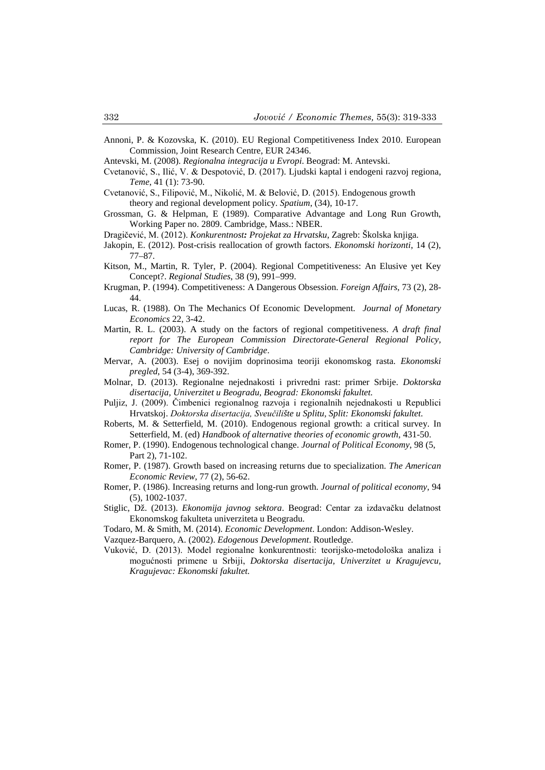- Annoni, P. & Kozovska, K. (2010). EU Regional Competitiveness Index 2010. European Commission, Joint Research Centre, EUR 24346.
- Antevski, M. (2008). *Regionalna integracija u Evropi*. Beograd: M. Antevski.
- Cvetanović, S., Ilić, V. & Despotović, D. (2017). Ljudski kaptal i endogeni razvoj regiona, *Teme*, 41 (1): 73-90.
- Cvetanović, S., Filipović, M., Nikolić, M. & Belović, D. (2015). Endogenous growth theory and regional development policy. *Spatium*, (34), 10-17.
- Grossman, G. & Helpman, E (1989). Comparative Advantage and Long Run Growth, Working Paper no. 2809. Cambridge, Mass.: NBER.

Dragičević, M. (2012). *Konkurentnost: Projekat za Hrvatsku*, Zagreb: Školska knjiga.

- Jakopin, E. (2012). Post-crisis reallocation of growth factors. *Ekonomski horizonti*, 14 (2), 77–87.
- Kitson, M., Martin, R. Tyler, P. (2004). Regional Competitiveness: An Elusive yet Key Concept?. *Regional Studies*, 38 (9), 991–999.
- Krugman, P. (1994). Competitiveness: A Dangerous Obsession. *Foreign Affairs*, 73 (2), 28- 44.
- Lucas, R. (1988). On The Mechanics Of Economic Development. *Journal of Monetary Economics* 22, 3-42.
- Martin, R. L. (2003). A study on the factors of regional competitiveness. *A draft final report for The European Commission Directorate-General Regional Policy, Cambridge: University of Cambridge*.
- Mervar, A. (2003). Esej o novijim doprinosima teoriji ekonomskog rasta. *Ekonomski pregled*, 54 (3-4), 369-392.
- Molnar, D. (2013). Regionalne nejednakosti i privredni rast: primer Srbije. *Doktorska disertacija, Univerzitet u Beogradu, Beograd: Ekonomski fakultet.*
- Puljiz, J. (2009). Čimbenici regionalnog razvoja i regionalnih nejednakosti u Republici Hrvatskoj. *Doktorska disertacija, Sveučilište u Splitu, Split: Ekonomski fakultet*.
- Roberts, M. & Setterfield, M. (2010). Endogenous regional growth: a critical survey. In Setterfield, M. (ed) *Handbook of alternative theories of economic growth*, 431-50.
- Romer, P. (1990). Endogenous technological change. *Journal of Political Economy*, 98 (5, Part 2), 71-102.
- Romer, P. (1987). Growth based on increasing returns due to specialization. *The American Economic Review*, 77 (2), 56-62.
- Romer, P. (1986). Increasing returns and long-run growth. *Journal of political economy*, 94 (5), 1002-1037.
- Stiglic, Dž. (2013). *Ekonomija javnog sektora*. Beograd: Centar za izdavačku delatnost Ekonomskog fakulteta univerziteta u Beogradu.
- Todaro, M. & Smith, M. (2014). *Economic Development*. London: Addison-Wesley.
- Vazquez-Barquero, A. (2002). *Edogenous Development*. Routledge.
- Vuković, D. (2013). Mоdеl rеgiоnаlnе kоnkurеntnоsti: tеоriјskо-mеtоdоlоškа аnаlizа i mоgućnоsti primеnе u Srbiјi, *Doktorska disertacija, Univerzitet u Kragujevcu, Kragujevac: Ekonomski fakultet.*